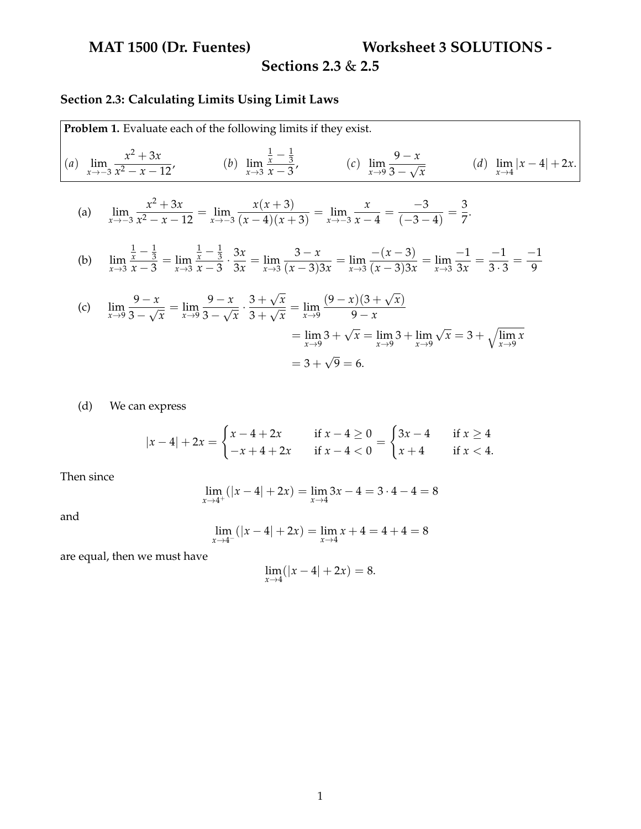**Sections 2.3** & **2.5**

## **Section 2.3: Calculating Limits Using Limit Laws**

**Problem 1.** Evaluate each of the following limits if they exist.  
\n(a) 
$$
\lim_{x \to -3} \frac{x^2 + 3x}{x^2 - x - 12}
$$
\n(b) 
$$
\lim_{x \to 3} \frac{\frac{1}{x} - \frac{1}{3}}{x - 3}
$$
\n(c) 
$$
\lim_{x \to 9} \frac{9 - x}{3 - \sqrt{x}}
$$
\n(d) 
$$
\lim_{x \to 4} |x - 4| + 2x
$$
.

(a) 
$$
\lim_{x \to -3} \frac{x^2 + 3x}{x^2 - x - 12} = \lim_{x \to -3} \frac{x(x + 3)}{(x - 4)(x + 3)} = \lim_{x \to -3} \frac{x}{x - 4} = \frac{-3}{(-3 - 4)} = \frac{3}{7}.
$$

(b) 
$$
\lim_{x \to 3} \frac{\frac{1}{x} - \frac{1}{3}}{x - 3} = \lim_{x \to 3} \frac{\frac{1}{x} - \frac{1}{3}}{x - 3} \cdot \frac{3x}{3x} = \lim_{x \to 3} \frac{3 - x}{(x - 3)3x} = \lim_{x \to 3} \frac{-(x - 3)}{(x - 3)3x} = \lim_{x \to 3} \frac{-1}{3x} = \frac{-1}{3 \cdot 3} = \frac{-1}{9}
$$

(c) 
$$
\lim_{x \to 9} \frac{9 - x}{3 - \sqrt{x}} = \lim_{x \to 9} \frac{9 - x}{3 - \sqrt{x}} \cdot \frac{3 + \sqrt{x}}{3 + \sqrt{x}} = \lim_{x \to 9} \frac{(9 - x)(3 + \sqrt{x})}{9 - x}
$$

$$
= \lim_{x \to 9} 3 + \sqrt{x} = \lim_{x \to 9} 3 + \lim_{x \to 9} \sqrt{x} = 3 + \sqrt{\lim_{x \to 9} x}
$$

$$
= 3 + \sqrt{9} = 6.
$$

(d) We can express

$$
|x-4| + 2x = \begin{cases} x - 4 + 2x & \text{if } x - 4 \ge 0 \\ -x + 4 + 2x & \text{if } x - 4 < 0 \end{cases} = \begin{cases} 3x - 4 & \text{if } x \ge 4 \\ x + 4 & \text{if } x < 4. \end{cases}
$$

Then since

$$
\lim_{x \to 4^+} (|x - 4| + 2x) = \lim_{x \to 4} 3x - 4 = 3 \cdot 4 - 4 = 8
$$

and

$$
\lim_{x \to 4^-} (|x - 4| + 2x) = \lim_{x \to 4} x + 4 = 4 + 4 = 8
$$

are equal, then we must have

$$
\lim_{x \to 4} (|x - 4| + 2x) = 8.
$$